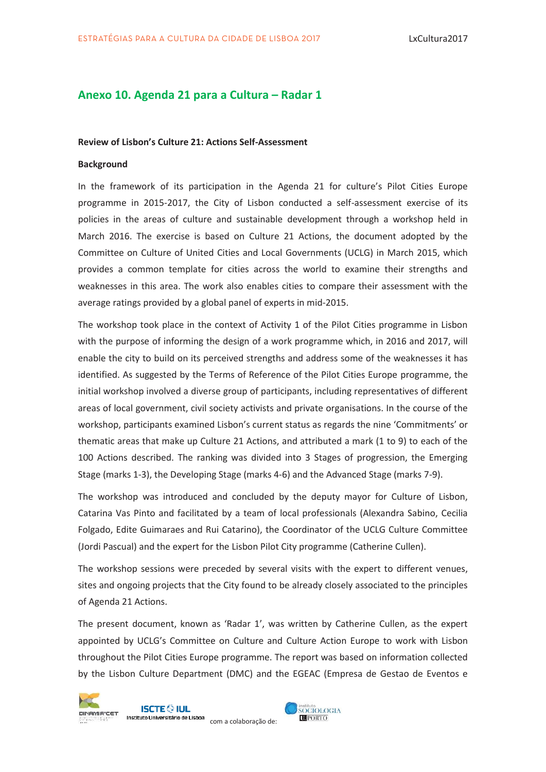# **Anexo 10. Agenda 21 para a Cultura – Radar 1**

#### **Review of Lisbon's Culture 21: Actions Self-Assessment**

#### **Background**

In the framework of its participation in the Agenda 21 for culture's Pilot Cities Europe programme in 2015-2017, the City of Lisbon conducted a self-assessment exercise of its policies in the areas of culture and sustainable development through a workshop held in March 2016. The exercise is based on Culture 21 Actions, the document adopted by the Committee on Culture of United Cities and Local Governments (UCLG) in March 2015, which provides a common template for cities across the world to examine their strengths and weaknesses in this area. The work also enables cities to compare their assessment with the average ratings provided by a global panel of experts in mid-2015.

The workshop took place in the context of Activity 1 of the Pilot Cities programme in Lisbon with the purpose of informing the design of a work programme which, in 2016 and 2017, will enable the city to build on its perceived strengths and address some of the weaknesses it has identified. As suggested by the Terms of Reference of the Pilot Cities Europe programme, the initial workshop involved a diverse group of participants, including representatives of different areas of local government, civil society activists and private organisations. In the course of the workshop, participants examined Lisbon's current status as regards the nine 'Commitments' or thematic areas that make up Culture 21 Actions, and attributed a mark (1 to 9) to each of the 100 Actions described. The ranking was divided into 3 Stages of progression, the Emerging Stage (marks 1-3), the Developing Stage (marks 4-6) and the Advanced Stage (marks 7-9).

The workshop was introduced and concluded by the deputy mayor for Culture of Lisbon, Catarina Vas Pinto and facilitated by a team of local professionals (Alexandra Sabino, Cecilia Folgado, Edite Guimaraes and Rui Catarino), the Coordinator of the UCLG Culture Committee (Jordi Pascual) and the expert for the Lisbon Pilot City programme (Catherine Cullen).

The workshop sessions were preceded by several visits with the expert to different venues, sites and ongoing projects that the City found to be already closely associated to the principles of Agenda 21 Actions.

The present document, known as 'Radar 1', was written by Catherine Cullen, as the expert appointed by UCLG's Committee on Culture and Culture Action Europe to work with Lisbon throughout the Pilot Cities Europe programme. The report was based on information collected by the Lisbon Culture Department (DMC) and the EGEAC (Empresa de Gestao de Eventos e



**ISCTE ONL** Instituto Universitário de Lisboa

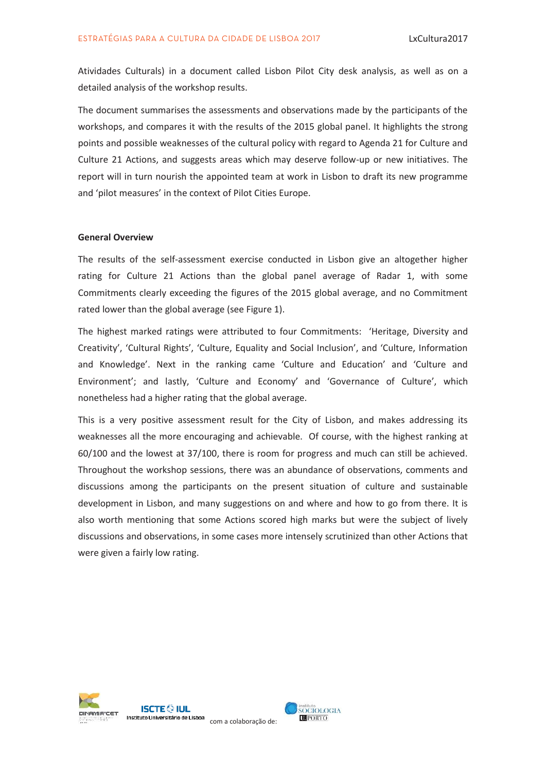Atividades Culturals) in a document called Lisbon Pilot City desk analysis, as well as on a detailed analysis of the workshop results.

The document summarises the assessments and observations made by the participants of the workshops, and compares it with the results of the 2015 global panel. It highlights the strong points and possible weaknesses of the cultural policy with regard to Agenda 21 for Culture and Culture 21 Actions, and suggests areas which may deserve follow-up or new initiatives. The report will in turn nourish the appointed team at work in Lisbon to draft its new programme and 'pilot measures' in the context of Pilot Cities Europe.

## **General Overview**

The results of the self-assessment exercise conducted in Lisbon give an altogether higher rating for Culture 21 Actions than the global panel average of Radar 1, with some Commitments clearly exceeding the figures of the 2015 global average, and no Commitment rated lower than the global average (see Figure 1).

The highest marked ratings were attributed to four Commitments: 'Heritage, Diversity and Creativity', 'Cultural Rights', 'Culture, Equality and Social Inclusion', and 'Culture, Information and Knowledge'. Next in the ranking came 'Culture and Education' and 'Culture and Environment'; and lastly, 'Culture and Economy' and 'Governance of Culture', which nonetheless had a higher rating that the global average.

This is a very positive assessment result for the City of Lisbon, and makes addressing its weaknesses all the more encouraging and achievable. Of course, with the highest ranking at 60/100 and the lowest at 37/100, there is room for progress and much can still be achieved. Throughout the workshop sessions, there was an abundance of observations, comments and discussions among the participants on the present situation of culture and sustainable development in Lisbon, and many suggestions on and where and how to go from there. It is also worth mentioning that some Actions scored high marks but were the subject of lively discussions and observations, in some cases more intensely scrutinized than other Actions that were given a fairly low rating.



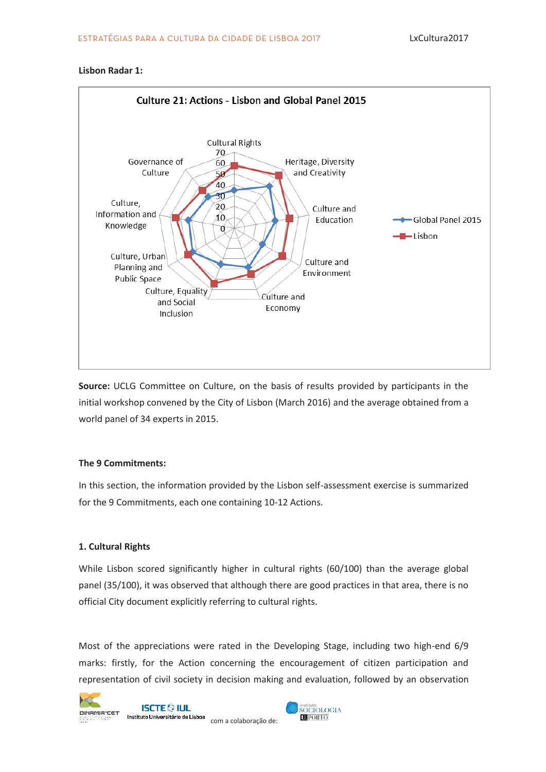### **Lisbon Radar 1:**



**Source:** UCLG Committee on Culture, on the basis of results provided by participants in the initial workshop convened by the City of Lisbon (March 2016) and the average obtained from a world panel of 34 experts in 2015.

# **The 9 Commitments:**

In this section, the information provided by the Lisbon self-assessment exercise is summarized for the 9 Commitments, each one containing 10-12 Actions.

# **1. Cultural Rights**

While Lisbon scored significantly higher in cultural rights (60/100) than the average global panel (35/100), it was observed that although there are good practices in that area, there is no official City document explicitly referring to cultural rights.

Most of the appreciations were rated in the Developing Stage, including two high-end 6/9 marks: firstly, for the Action concerning the encouragement of citizen participation and representation of civil society in decision making and evaluation, followed by an observation



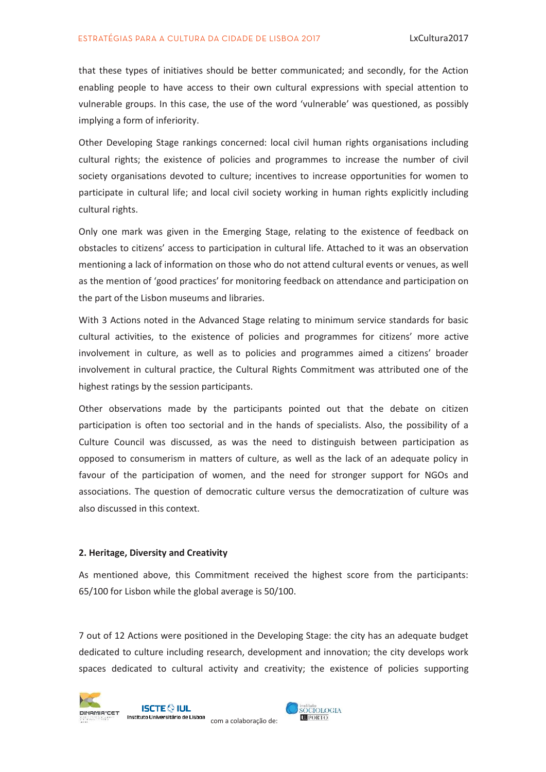that these types of initiatives should be better communicated; and secondly, for the Action enabling people to have access to their own cultural expressions with special attention to vulnerable groups. In this case, the use of the word 'vulnerable' was questioned, as possibly implying a form of inferiority.

Other Developing Stage rankings concerned: local civil human rights organisations including cultural rights; the existence of policies and programmes to increase the number of civil society organisations devoted to culture; incentives to increase opportunities for women to participate in cultural life; and local civil society working in human rights explicitly including cultural rights.

Only one mark was given in the Emerging Stage, relating to the existence of feedback on obstacles to citizens' access to participation in cultural life. Attached to it was an observation mentioning a lack of information on those who do not attend cultural events or venues, as well as the mention of 'good practices' for monitoring feedback on attendance and participation on the part of the Lisbon museums and libraries.

With 3 Actions noted in the Advanced Stage relating to minimum service standards for basic cultural activities, to the existence of policies and programmes for citizens' more active involvement in culture, as well as to policies and programmes aimed a citizens' broader involvement in cultural practice, the Cultural Rights Commitment was attributed one of the highest ratings by the session participants.

Other observations made by the participants pointed out that the debate on citizen participation is often too sectorial and in the hands of specialists. Also, the possibility of a Culture Council was discussed, as was the need to distinguish between participation as opposed to consumerism in matters of culture, as well as the lack of an adequate policy in favour of the participation of women, and the need for stronger support for NGOs and associations. The question of democratic culture versus the democratization of culture was also discussed in this context.

### **2. Heritage, Diversity and Creativity**

As mentioned above, this Commitment received the highest score from the participants: 65/100 for Lisbon while the global average is 50/100.

7 out of 12 Actions were positioned in the Developing Stage: the city has an adequate budget dedicated to culture including research, development and innovation; the city develops work spaces dedicated to cultural activity and creativity; the existence of policies supporting



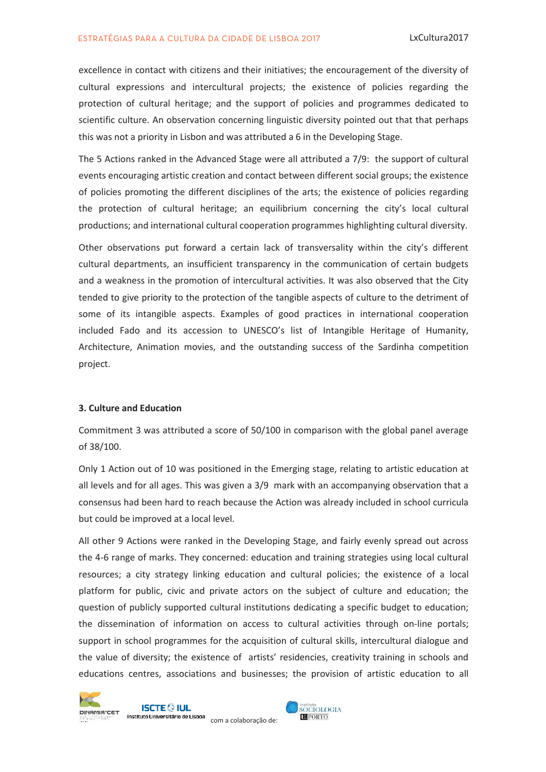excellence in contact with citizens and their initiatives; the encouragement of the diversity of cultural expressions and intercultural projects; the existence of policies regarding the protection of cultural heritage; and the support of policies and programmes dedicated to scientific culture. An observation concerning linguistic diversity pointed out that that perhaps this was not a priority in Lisbon and was attributed a 6 in the Developing Stage.

The 5 Actions ranked in the Advanced Stage were all attributed a 7/9: the support of cultural events encouraging artistic creation and contact between different social groups; the existence of policies promoting the different disciplines of the arts; the existence of policies regarding the protection of cultural heritage; an equilibrium concerning the city's local cultural productions; and international cultural cooperation programmes highlighting cultural diversity.

Other observations put forward a certain lack of transversality within the city's different cultural departments, an insufficient transparency in the communication of certain budgets and a weakness in the promotion of intercultural activities. It was also observed that the City tended to give priority to the protection of the tangible aspects of culture to the detriment of some of its intangible aspects. Examples of good practices in international cooperation included Fado and its accession to UNESCO's list of Intangible Heritage of Humanity, Architecture, Animation movies, and the outstanding success of the Sardinha competition project.

# **3. Culture and Education**

Commitment 3 was attributed a score of 50/100 in comparison with the global panel average of 38/100.

Only 1 Action out of 10 was positioned in the Emerging stage, relating to artistic education at all levels and for all ages. This was given a 3/9 mark with an accompanying observation that a consensus had been hard to reach because the Action was already included in school curricula but could be improved at a local level.

All other 9 Actions were ranked in the Developing Stage, and fairly evenly spread out across the 4-6 range of marks. They concerned: education and training strategies using local cultural resources; a city strategy linking education and cultural policies; the existence of a local platform for public, civic and private actors on the subject of culture and education; the question of publicly supported cultural institutions dedicating a specific budget to education; the dissemination of information on access to cultural activities through on-line portals; support in school programmes for the acquisition of cultural skills, intercultural dialogue and the value of diversity; the existence of artists' residencies, creativity training in schools and educations centres, associations and businesses; the provision of artistic education to all



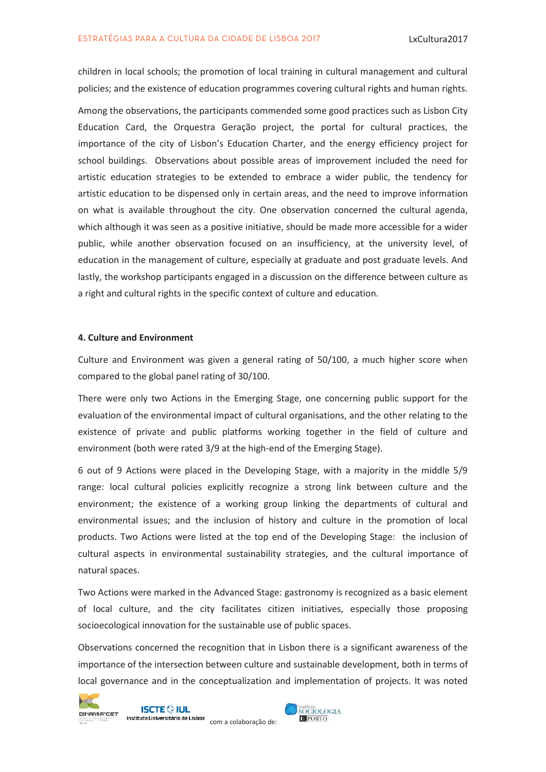children in local schools; the promotion of local training in cultural management and cultural policies; and the existence of education programmes covering cultural rights and human rights.

Among the observations, the participants commended some good practices such as Lisbon City Education Card, the Orquestra Geração project, the portal for cultural practices, the importance of the city of Lisbon's Education Charter, and the energy efficiency project for school buildings. Observations about possible areas of improvement included the need for artistic education strategies to be extended to embrace a wider public, the tendency for artistic education to be dispensed only in certain areas, and the need to improve information on what is available throughout the city. One observation concerned the cultural agenda, which although it was seen as a positive initiative, should be made more accessible for a wider public, while another observation focused on an insufficiency, at the university level, of education in the management of culture, especially at graduate and post graduate levels. And lastly, the workshop participants engaged in a discussion on the difference between culture as a right and cultural rights in the specific context of culture and education.

## **4. Culture and Environment**

Culture and Environment was given a general rating of 50/100, a much higher score when compared to the global panel rating of 30/100.

There were only two Actions in the Emerging Stage, one concerning public support for the evaluation of the environmental impact of cultural organisations, and the other relating to the existence of private and public platforms working together in the field of culture and environment (both were rated 3/9 at the high-end of the Emerging Stage).

6 out of 9 Actions were placed in the Developing Stage, with a majority in the middle 5/9 range: local cultural policies explicitly recognize a strong link between culture and the environment; the existence of a working group linking the departments of cultural and environmental issues; and the inclusion of history and culture in the promotion of local products. Two Actions were listed at the top end of the Developing Stage: the inclusion of cultural aspects in environmental sustainability strategies, and the cultural importance of natural spaces.

Two Actions were marked in the Advanced Stage: gastronomy is recognized as a basic element of local culture, and the city facilitates citizen initiatives, especially those proposing socioecological innovation for the sustainable use of public spaces.

Observations concerned the recognition that in Lisbon there is a significant awareness of the importance of the intersection between culture and sustainable development, both in terms of local governance and in the conceptualization and implementation of projects. It was noted



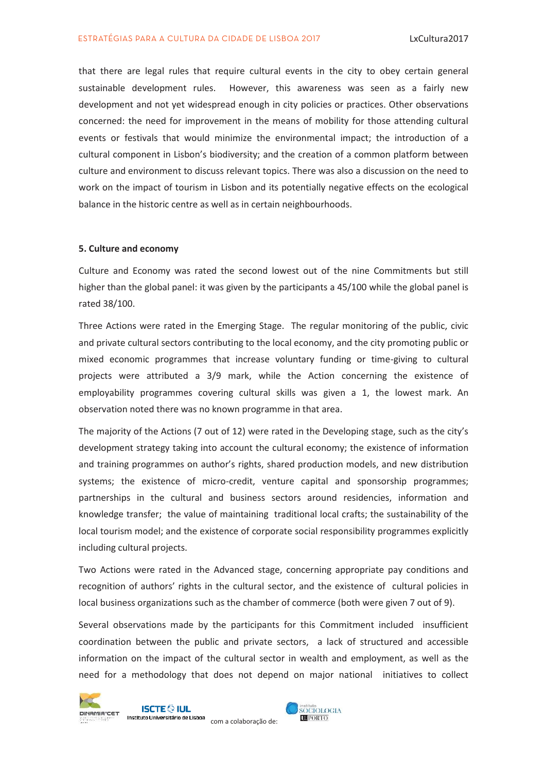that there are legal rules that require cultural events in the city to obey certain general sustainable development rules. However, this awareness was seen as a fairly new development and not yet widespread enough in city policies or practices. Other observations concerned: the need for improvement in the means of mobility for those attending cultural events or festivals that would minimize the environmental impact; the introduction of a cultural component in Lisbon's biodiversity; and the creation of a common platform between culture and environment to discuss relevant topics. There was also a discussion on the need to work on the impact of tourism in Lisbon and its potentially negative effects on the ecological balance in the historic centre as well as in certain neighbourhoods.

#### **5. Culture and economy**

Culture and Economy was rated the second lowest out of the nine Commitments but still higher than the global panel: it was given by the participants a 45/100 while the global panel is rated 38/100.

Three Actions were rated in the Emerging Stage. The regular monitoring of the public, civic and private cultural sectors contributing to the local economy, and the city promoting public or mixed economic programmes that increase voluntary funding or time-giving to cultural projects were attributed a 3/9 mark, while the Action concerning the existence of employability programmes covering cultural skills was given a 1, the lowest mark. An observation noted there was no known programme in that area.

The majority of the Actions (7 out of 12) were rated in the Developing stage, such as the city's development strategy taking into account the cultural economy; the existence of information and training programmes on author's rights, shared production models, and new distribution systems; the existence of micro-credit, venture capital and sponsorship programmes; partnerships in the cultural and business sectors around residencies, information and knowledge transfer; the value of maintaining traditional local crafts; the sustainability of the local tourism model; and the existence of corporate social responsibility programmes explicitly including cultural projects.

Two Actions were rated in the Advanced stage, concerning appropriate pay conditions and recognition of authors' rights in the cultural sector, and the existence of cultural policies in local business organizations such as the chamber of commerce (both were given 7 out of 9).

Several observations made by the participants for this Commitment included insufficient coordination between the public and private sectors, a lack of structured and accessible information on the impact of the cultural sector in wealth and employment, as well as the need for a methodology that does not depend on major national initiatives to collect



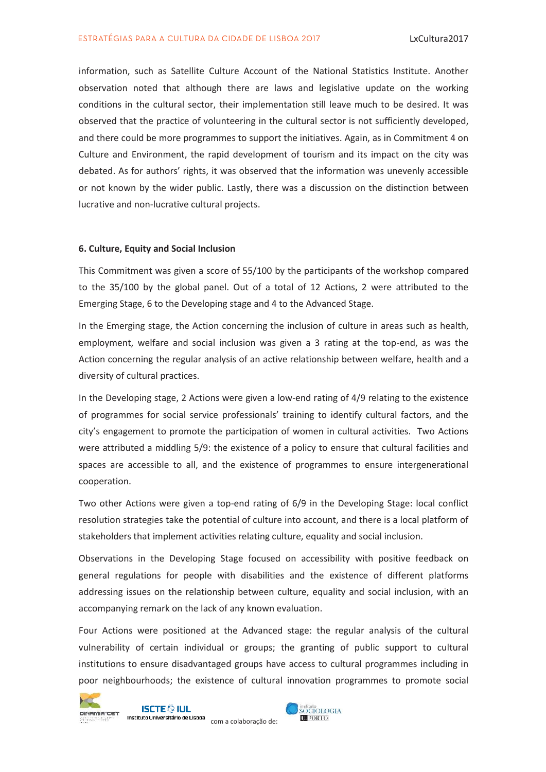information, such as Satellite Culture Account of the National Statistics Institute. Another observation noted that although there are laws and legislative update on the working conditions in the cultural sector, their implementation still leave much to be desired. It was observed that the practice of volunteering in the cultural sector is not sufficiently developed, and there could be more programmes to support the initiatives. Again, as in Commitment 4 on Culture and Environment, the rapid development of tourism and its impact on the city was debated. As for authors' rights, it was observed that the information was unevenly accessible or not known by the wider public. Lastly, there was a discussion on the distinction between lucrative and non-lucrative cultural projects.

### **6. Culture, Equity and Social Inclusion**

This Commitment was given a score of 55/100 by the participants of the workshop compared to the 35/100 by the global panel. Out of a total of 12 Actions, 2 were attributed to the Emerging Stage, 6 to the Developing stage and 4 to the Advanced Stage.

In the Emerging stage, the Action concerning the inclusion of culture in areas such as health, employment, welfare and social inclusion was given a 3 rating at the top-end, as was the Action concerning the regular analysis of an active relationship between welfare, health and a diversity of cultural practices.

In the Developing stage, 2 Actions were given a low-end rating of 4/9 relating to the existence of programmes for social service professionals' training to identify cultural factors, and the city's engagement to promote the participation of women in cultural activities. Two Actions were attributed a middling 5/9: the existence of a policy to ensure that cultural facilities and spaces are accessible to all, and the existence of programmes to ensure intergenerational cooperation.

Two other Actions were given a top-end rating of 6/9 in the Developing Stage: local conflict resolution strategies take the potential of culture into account, and there is a local platform of stakeholders that implement activities relating culture, equality and social inclusion.

Observations in the Developing Stage focused on accessibility with positive feedback on general regulations for people with disabilities and the existence of different platforms addressing issues on the relationship between culture, equality and social inclusion, with an accompanying remark on the lack of any known evaluation.

Four Actions were positioned at the Advanced stage: the regular analysis of the cultural vulnerability of certain individual or groups; the granting of public support to cultural institutions to ensure disadvantaged groups have access to cultural programmes including in poor neighbourhoods; the existence of cultural innovation programmes to promote social



**ISCTE OF IUL** Instituto Universitário de Lisboa

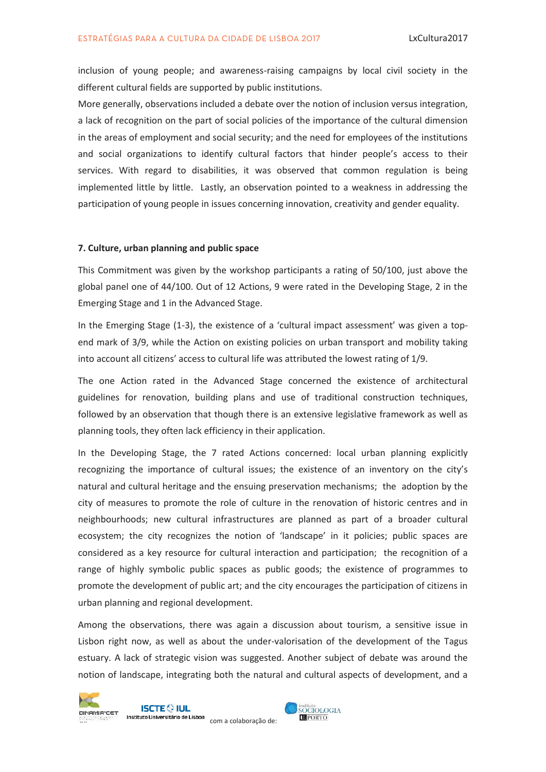inclusion of young people; and awareness-raising campaigns by local civil society in the different cultural fields are supported by public institutions.

More generally, observations included a debate over the notion of inclusion versus integration, a lack of recognition on the part of social policies of the importance of the cultural dimension in the areas of employment and social security; and the need for employees of the institutions and social organizations to identify cultural factors that hinder people's access to their services. With regard to disabilities, it was observed that common regulation is being implemented little by little. Lastly, an observation pointed to a weakness in addressing the participation of young people in issues concerning innovation, creativity and gender equality.

## **7. Culture, urban planning and public space**

This Commitment was given by the workshop participants a rating of 50/100, just above the global panel one of 44/100. Out of 12 Actions, 9 were rated in the Developing Stage, 2 in the Emerging Stage and 1 in the Advanced Stage.

In the Emerging Stage (1-3), the existence of a 'cultural impact assessment' was given a topend mark of 3/9, while the Action on existing policies on urban transport and mobility taking into account all citizens' access to cultural life was attributed the lowest rating of 1/9.

The one Action rated in the Advanced Stage concerned the existence of architectural guidelines for renovation, building plans and use of traditional construction techniques, followed by an observation that though there is an extensive legislative framework as well as planning tools, they often lack efficiency in their application.

In the Developing Stage, the 7 rated Actions concerned: local urban planning explicitly recognizing the importance of cultural issues; the existence of an inventory on the city's natural and cultural heritage and the ensuing preservation mechanisms; the adoption by the city of measures to promote the role of culture in the renovation of historic centres and in neighbourhoods; new cultural infrastructures are planned as part of a broader cultural ecosystem; the city recognizes the notion of 'landscape' in it policies; public spaces are considered as a key resource for cultural interaction and participation; the recognition of a range of highly symbolic public spaces as public goods; the existence of programmes to promote the development of public art; and the city encourages the participation of citizens in urban planning and regional development.

Among the observations, there was again a discussion about tourism, a sensitive issue in Lisbon right now, as well as about the under-valorisation of the development of the Tagus estuary. A lack of strategic vision was suggested. Another subject of debate was around the notion of landscape, integrating both the natural and cultural aspects of development, and a



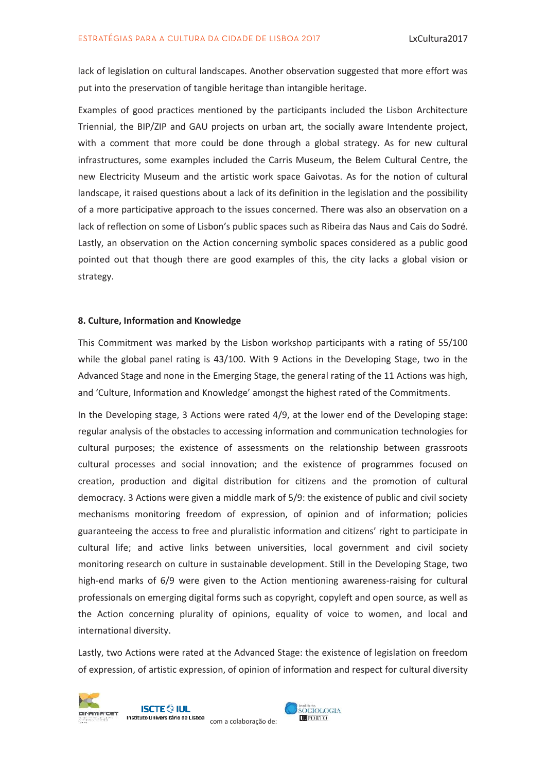lack of legislation on cultural landscapes. Another observation suggested that more effort was put into the preservation of tangible heritage than intangible heritage.

Examples of good practices mentioned by the participants included the Lisbon Architecture Triennial, the BIP/ZIP and GAU projects on urban art, the socially aware Intendente project, with a comment that more could be done through a global strategy. As for new cultural infrastructures, some examples included the Carris Museum, the Belem Cultural Centre, the new Electricity Museum and the artistic work space Gaivotas. As for the notion of cultural landscape, it raised questions about a lack of its definition in the legislation and the possibility of a more participative approach to the issues concerned. There was also an observation on a lack of reflection on some of Lisbon's public spaces such as Ribeira das Naus and Cais do Sodré. Lastly, an observation on the Action concerning symbolic spaces considered as a public good pointed out that though there are good examples of this, the city lacks a global vision or strategy.

### **8. Culture, Information and Knowledge**

This Commitment was marked by the Lisbon workshop participants with a rating of 55/100 while the global panel rating is 43/100. With 9 Actions in the Developing Stage, two in the Advanced Stage and none in the Emerging Stage, the general rating of the 11 Actions was high, and 'Culture, Information and Knowledge' amongst the highest rated of the Commitments.

In the Developing stage, 3 Actions were rated 4/9, at the lower end of the Developing stage: regular analysis of the obstacles to accessing information and communication technologies for cultural purposes; the existence of assessments on the relationship between grassroots cultural processes and social innovation; and the existence of programmes focused on creation, production and digital distribution for citizens and the promotion of cultural democracy. 3 Actions were given a middle mark of 5/9: the existence of public and civil society mechanisms monitoring freedom of expression, of opinion and of information; policies guaranteeing the access to free and pluralistic information and citizens' right to participate in cultural life; and active links between universities, local government and civil society monitoring research on culture in sustainable development. Still in the Developing Stage, two high-end marks of 6/9 were given to the Action mentioning awareness-raising for cultural professionals on emerging digital forms such as copyright, copyleft and open source, as well as the Action concerning plurality of opinions, equality of voice to women, and local and international diversity.

Lastly, two Actions were rated at the Advanced Stage: the existence of legislation on freedom of expression, of artistic expression, of opinion of information and respect for cultural diversity

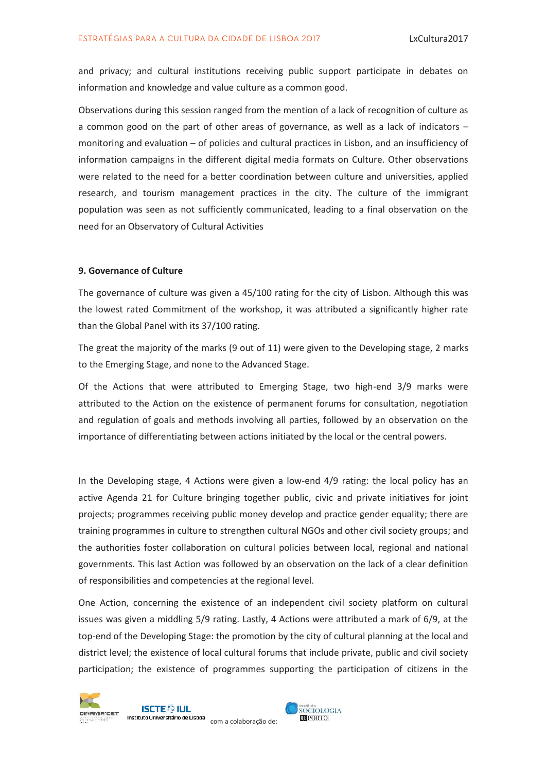and privacy; and cultural institutions receiving public support participate in debates on information and knowledge and value culture as a common good.

Observations during this session ranged from the mention of a lack of recognition of culture as a common good on the part of other areas of governance, as well as a lack of indicators – monitoring and evaluation – of policies and cultural practices in Lisbon, and an insufficiency of information campaigns in the different digital media formats on Culture. Other observations were related to the need for a better coordination between culture and universities, applied research, and tourism management practices in the city. The culture of the immigrant population was seen as not sufficiently communicated, leading to a final observation on the need for an Observatory of Cultural Activities

#### **9. Governance of Culture**

The governance of culture was given a 45/100 rating for the city of Lisbon. Although this was the lowest rated Commitment of the workshop, it was attributed a significantly higher rate than the Global Panel with its 37/100 rating.

The great the majority of the marks (9 out of 11) were given to the Developing stage, 2 marks to the Emerging Stage, and none to the Advanced Stage.

Of the Actions that were attributed to Emerging Stage, two high-end 3/9 marks were attributed to the Action on the existence of permanent forums for consultation, negotiation and regulation of goals and methods involving all parties, followed by an observation on the importance of differentiating between actions initiated by the local or the central powers.

In the Developing stage, 4 Actions were given a low-end 4/9 rating: the local policy has an active Agenda 21 for Culture bringing together public, civic and private initiatives for joint projects; programmes receiving public money develop and practice gender equality; there are training programmes in culture to strengthen cultural NGOs and other civil society groups; and the authorities foster collaboration on cultural policies between local, regional and national governments. This last Action was followed by an observation on the lack of a clear definition of responsibilities and competencies at the regional level.

One Action, concerning the existence of an independent civil society platform on cultural issues was given a middling 5/9 rating. Lastly, 4 Actions were attributed a mark of 6/9, at the top-end of the Developing Stage: the promotion by the city of cultural planning at the local and district level; the existence of local cultural forums that include private, public and civil society participation; the existence of programmes supporting the participation of citizens in the



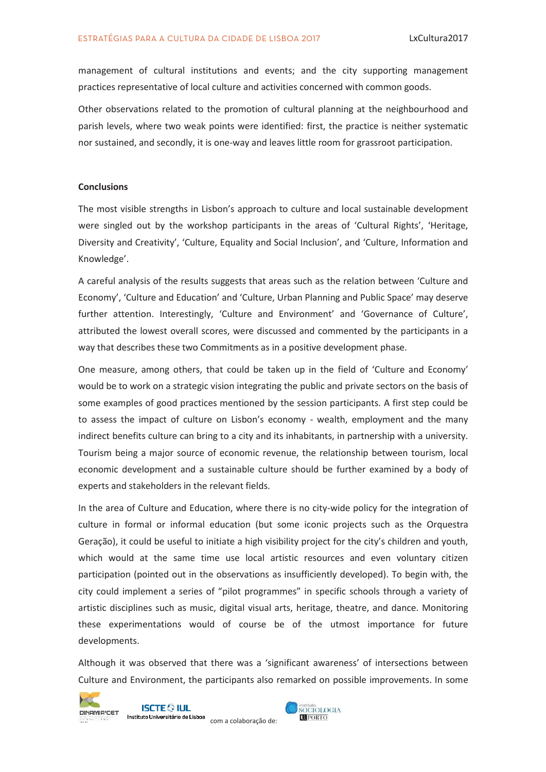management of cultural institutions and events; and the city supporting management practices representative of local culture and activities concerned with common goods.

Other observations related to the promotion of cultural planning at the neighbourhood and parish levels, where two weak points were identified: first, the practice is neither systematic nor sustained, and secondly, it is one-way and leaves little room for grassroot participation.

### **Conclusions**

The most visible strengths in Lisbon's approach to culture and local sustainable development were singled out by the workshop participants in the areas of 'Cultural Rights', 'Heritage, Diversity and Creativity', 'Culture, Equality and Social Inclusion', and 'Culture, Information and Knowledge'.

A careful analysis of the results suggests that areas such as the relation between 'Culture and Economy', 'Culture and Education' and 'Culture, Urban Planning and Public Space' may deserve further attention. Interestingly, 'Culture and Environment' and 'Governance of Culture', attributed the lowest overall scores, were discussed and commented by the participants in a way that describes these two Commitments as in a positive development phase.

One measure, among others, that could be taken up in the field of 'Culture and Economy' would be to work on a strategic vision integrating the public and private sectors on the basis of some examples of good practices mentioned by the session participants. A first step could be to assess the impact of culture on Lisbon's economy - wealth, employment and the many indirect benefits culture can bring to a city and its inhabitants, in partnership with a university. Tourism being a major source of economic revenue, the relationship between tourism, local economic development and a sustainable culture should be further examined by a body of experts and stakeholders in the relevant fields.

In the area of Culture and Education, where there is no city-wide policy for the integration of culture in formal or informal education (but some iconic projects such as the Orquestra Geração), it could be useful to initiate a high visibility project for the city's children and youth, which would at the same time use local artistic resources and even voluntary citizen participation (pointed out in the observations as insufficiently developed). To begin with, the city could implement a series of "pilot programmes" in specific schools through a variety of artistic disciplines such as music, digital visual arts, heritage, theatre, and dance. Monitoring these experimentations would of course be of the utmost importance for future developments.

Although it was observed that there was a 'significant awareness' of intersections between Culture and Environment, the participants also remarked on possible improvements. In some